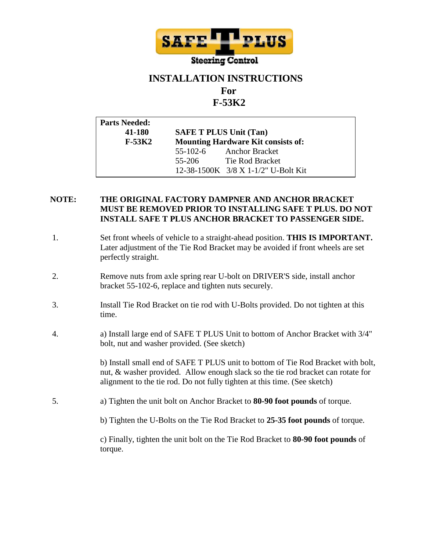

## **INSTALLATION INSTRUCTIONS**

# **For**

## **F-53K2**

| <b>Parts Needed:</b> |                                           |                                     |
|----------------------|-------------------------------------------|-------------------------------------|
| 41-180               | <b>SAFE T PLUS Unit (Tan)</b>             |                                     |
| $F-53K2$             | <b>Mounting Hardware Kit consists of:</b> |                                     |
|                      |                                           | 55-102-6 Anchor Bracket             |
|                      |                                           | 55-206 Tie Rod Bracket              |
|                      |                                           | 12-38-1500K 3/8 X 1-1/2" U-Bolt Kit |

### **NOTE: THE ORIGINAL FACTORY DAMPNER AND ANCHOR BRACKET MUST BE REMOVED PRIOR TO INSTALLING SAFE T PLUS. DO NOT INSTALL SAFE T PLUS ANCHOR BRACKET TO PASSENGER SIDE.**

- 1. Set front wheels of vehicle to a straight-ahead position. **THIS IS IMPORTANT.** Later adjustment of the Tie Rod Bracket may be avoided if front wheels are set perfectly straight.
- 2. Remove nuts from axle spring rear U-bolt on DRIVER'S side, install anchor bracket 55-102-6, replace and tighten nuts securely.
- 3. Install Tie Rod Bracket on tie rod with U-Bolts provided. Do not tighten at this time.
- 4. a) Install large end of SAFE T PLUS Unit to bottom of Anchor Bracket with 3/4" bolt, nut and washer provided. (See sketch)

b) Install small end of SAFE T PLUS unit to bottom of Tie Rod Bracket with bolt, nut, & washer provided. Allow enough slack so the tie rod bracket can rotate for alignment to the tie rod. Do not fully tighten at this time. (See sketch)

- 5. a) Tighten the unit bolt on Anchor Bracket to **80-90 foot pounds** of torque.
	- b) Tighten the U-Bolts on the Tie Rod Bracket to **25-35 foot pounds** of torque.

c) Finally, tighten the unit bolt on the Tie Rod Bracket to **80-90 foot pounds** of torque.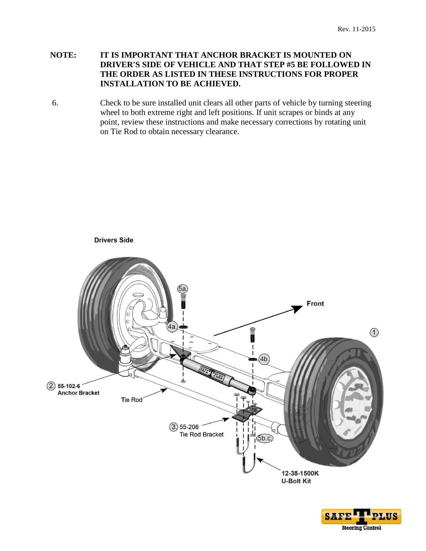### **NOTE: IT IS IMPORTANT THAT ANCHOR BRACKET IS MOUNTED ON DRIVER'S SIDE OF VEHICLE AND THAT STEP #5 BE FOLLOWED IN THE ORDER AS LISTED IN THESE INSTRUCTIONS FOR PROPER INSTALLATION TO BE ACHIEVED.**

6. Check to be sure installed unit clears all other parts of vehicle by turning steering wheel to both extreme right and left positions. If unit scrapes or binds at any point, review these instructions and make necessary corrections by rotating unit on Tie Rod to obtain necessary clearance.